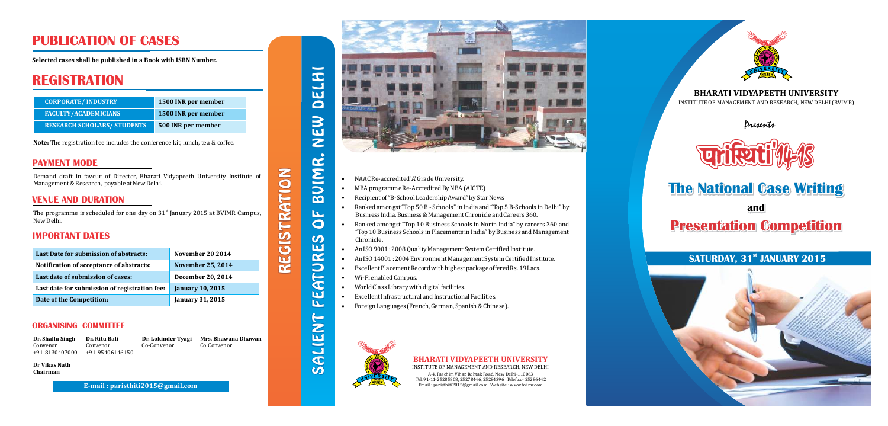### **BHARATI VIDYAPEETH UNIVERSITY**

INSTITUTE OF MANAGEMENT AND RESEARCH, NEW DELHI (BVIMR)

# **The National Case Writing The National Case Writing**

**and and** 

# **Presentation Competition Presentation Competition**

### **SATURDAY, 31st JANUARY 2015**



*Presents*



**Note:** The registration fee includes the conference kit, lunch, tea & coffee. **PRIZE**

The programme is scheduled for one day on  $31<sup>st</sup>$  January 2015 at BVIMR Campus, New Delhi.

**Dr. Shallu Singh**  Convenor +91-8130407000 **Dr. Lokinder Tyagi** Co-Convenor

**Mrs. Bhawana Dhawan** Co Convenor

1973 SALIENT FEATURES OF BVIMR, NEW DELHI  $\overline{\mathbf{C}}$ EW  $\bar{z}$ JIMR.  $\overline{a}$  $\mathbf{u}_1$  $\bigcirc$  $\boldsymbol{\omega}$ ATURES N m  $\leftarrow$ Z **IE**  $\overline{\mathbf{C}}$  $\overline{\mathbf{C}}$ 

 $\boldsymbol{\omega}$ 

# **PUBLICATION OF CASES**

**Selected cases shall be published in a Book with ISBN Number.** 

### **REGISTRATION**

| <b>CORPORATE/INDUSTRY</b>          | 1500 INR per member |
|------------------------------------|---------------------|
| <b>FACULTY/ACADEMICIANS</b>        | 1500 INR per member |
| <b>RESEARCH SCHOLARS/ STUDENTS</b> | 500 INR per member  |

#### **PAYMENT MODE**

Demand draft in favour of Director, Bharati Vidyapeeth University Institute of Management & Research, payable at New Delhi.

#### **VENUE AND DURATION**

#### **IMPORTANT DATES**

| Last Date for submission of abstracts:        | <b>November 20 2014</b>  |
|-----------------------------------------------|--------------------------|
| Notification of acceptance of abstracts:      | <b>November 25, 2014</b> |
| Last date of submission of cases:             | <b>December 20, 2014</b> |
| Last date for submission of registration fee: | <b>January 10, 2015</b>  |
| Date of the Competition:                      | <b>January 31, 2015</b>  |

#### **ORGANISING COMMITTEE**

**Dr. Ritu Bali**  Convenor +9195406146150

**Dr Vikas Nath Chairman**

**E-mail : paristhiti2015@gmail.com**





REGISTRATION

REGISTRATION



- NAAC Re-accredited 'A' Grade University.
- MBA programme Re-Accredited By NBA (AICTE)
- Recipient of "B-School Leadership Award" by Star News
- Ranked amongst "Top 50 B Schools" in India and "Top 5 B-Schools in Delhi" by Business India, Business & Management Chronicle and Careers 360.
- Ranked amongst "Top 10 Business Schools in North India" by careers 360 and "Top 10 Business Schools in Placements in India" by Business and Management Chronicle.
- An ISO 9001: 2008 Quality Management System Certified Institute.
- An ISO 14001 : 2004 Environment Management System Certified Institute.
- Excellent Placement Record with highest package offered Rs. 19 Lacs.
- $\bullet$  Wi-Fi enabled Campus.
- World Class Library with digital facilities.
- Excellent Infrastructural and Instructional Facilities.
- Foreign Languages (French, German, Spanish & Chinese).



#### **BHARATI VIDYAPEETH UNIVERSITY**

INSTITUTE OF MANAGEMENT AND RESEARCH, NEW DELHI

A-4, Paschim Vihar, Rohtak Road, New Delhi-110063 Tel. 91-11-25285808, 25278446, 25284396 Telefax - 25286442 Email: paristhiti2015@gmail.com Website: www.bvimr.com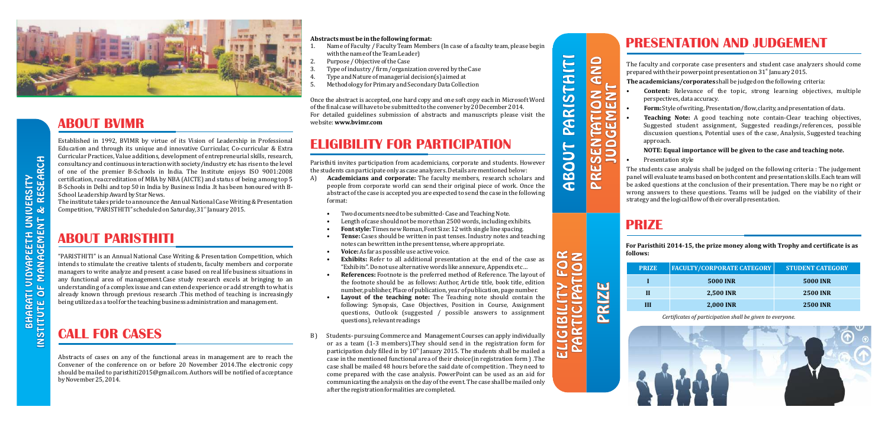

### **ABOUT BVIMR**

Established in 1992, BVIMR by virtue of its Vision of Leadership in Professional Education and through its unique and innovative Curricular, Co-curricular & Extra Curricular Practices, Value additions, development of entrepreneurial skills, research, consultancy and continuous interaction with society/industry etc has risen to the level of one of the premier B-Schools in India. The Institute enjoys ISO 9001:2008 certification, reaccreditation of MBA by NBA (AICTE) and status of being among top 5 B-Schools in Delhi and top 50 in India by Business India .It has been honoured with B-School Leadership Award by Star News.

The institute takes pride to announce the Annual National Case Writing & Presentation Competition, "PARISTHITI" scheduled on Saturday,  $31<sup>st</sup>$  January 2015.

### **ABOUT PARISTHITI**

"PARISTHITI" is an Annual National Case Writing & Presentation Competition, which intends to stimulate the creative talents of students, faculty members and corporate managers to write analyze and present a case based on real life business situations in any functional area of management.Case study research excels at bringing to an understanding of a complex issue and can extend experience or add strength to what is already known through previous research .This method of teaching is increasingly being utilized as a tool for the teaching business administration and management.

- **Content:** Relevance of the topic, strong learning objectives, multiple perspectives, data accuracy.
- Form: Style of writing, Presentation/flow, clarity, and presentation of data.
- **Teaching Note:** A good teaching note contain-Clear teaching objectives, Suggested student assignment, Suggested readings/references, possible discussion questions, Potential uses of the case, Analysis, Suggested teaching approach.

# **CALL FOR CASES**

Abstracts of cases on any of the functional areas in management are to reach the Convener of the conference on or before  $20$  November  $2014$ . The electronic copy should be mailed to paristhiti2015@gmail.com. Authors will be notified of acceptance by November 25, 2014.

## **ELIGIBILITY FOR PARTICIPATION**

Paristhiti invites participation from academicians, corporate and students. However the students can participate only as case analyzers. Details are mentioned below:

- A) **Academicians and corporate:** The faculty members, research scholars and people from corporate world can send their original piece of work. Once the abstract of the case is accepted you are expected to send the case in the following format:
	- Two documents need to be submitted- Case and Teaching Note.
	- Length of case should not be more than 2500 words, including exhibits.
	- **Font style:** Times new Roman, Font Size: 12 with single line spacing.
	- **Tense:** Cases should be written in past tenses. Industry notes and teaching notes can be written in the present tense, where appropriate.
	- **Voice:** As far as possible use active voice.
	- **Exhibits:** Refer to all additional presentation at the end of the case as "Exhibits". Do not use alternative words like annexure, Appendix etc...
	- **References:** Footnote is the preferred method of Reference. The layout of the footnote should be as follows: Author, Article title, book title, edition number, publisher, Place of publication, year of publication, page number.
	- **Layout of the teaching note:** The Teaching note should contain the following: Synopsis, Case Objectives, Position in Course, Assignment questions, Outlook (suggested / possible answers to assignment questions), relevant readings
- B) Students- pursuing Commerce and Management Courses can apply individually or as a team (1-3 members). They should send in the registration form for participation duly filled in by  $10<sup>th</sup>$  January 2015. The students shall be mailed a case in the mentioned functional area of their choice (in registration form ). The case shall be mailed 48 hours before the said date of competition . They need to come prepared with the case analysis. PowerPoint can be used as an aid for communicating the analysis on the day of the event. The case shall be mailed only after the registration formalities are completed.

Once the abstract is accepted, one hard copy and one soft copy each in Microsoft Word of the final case will have to be submitted to the convener by 20 December 2014. For detailed guidelines submission of abstracts and manuscripts please visit the website: **www.bvimr.com**

**NOTE: Equal importance will be given to the case and teaching note.**

Presentation style

The students case analysis shall be judged on the following criteria : The judgement panel will evaluate teams based on both content and presentation skills. Each team will be asked questions at the conclusion of their presentation. There may be no right or wrong answers to these questions. Teams will be judged on the viability of their strategy and the logical flow of their overall presentation.

ELIGIBILITY FOR **ELIGIBILITY FOR** 

 $\widetilde{w_{n}}$ 

PRESENTATION AND PARISTHITI **ATION AND**<br>EMENT ABOUT PARISTHITI JUDGEMENT  $\overline{\mathbf{G}}$   $\overline{\mathbf{U}}$ មច ZŎ **ABOUT**  $\overline{\mathcal{C}}$  $\overline{\mathbf{D}}$  $\overline{\omega}$   $\equiv$ PRE

# **PRESENTATION AND JUDGEMENT**

The faculty and corporate case presenters and student case analyzers should come prepared with their powerpoint presentation on 31st January 2015.

**The academicians/corporates** shall be judged on the following criteria:

**For Paristhiti 2014-15, the prize money along with Trophy and certificate is as follows:**

#### **Abstracts must be in the following format:**

- 1. Name of Faculty / Faculty Team Members (In case of a faculty team, please begin with the name of the Team Leader)
- 2. Purpose / Objective of the Case
- 3. Type of industry / firm / organization covered by the Case
- Type and Nature of managerial decision(s) aimed at
- 5. Methodology for Primary and Secondary Data Collection

# **PRIZE**

*Certificates of participation shall be given to everyone.*



| <b>PRIZE</b> | <b>FACULTY/CORPORATE CATEGORY</b> | <b>STUDENT CATEGORY</b> |
|--------------|-----------------------------------|-------------------------|
|              | <b>5000 INR</b>                   | <b>5000 INR</b>         |
|              | <b>2,500 INR</b>                  | <b>2500 INR</b>         |
| ш            | <b>2,000 INR</b>                  | <b>2500 INR</b>         |

PRIZE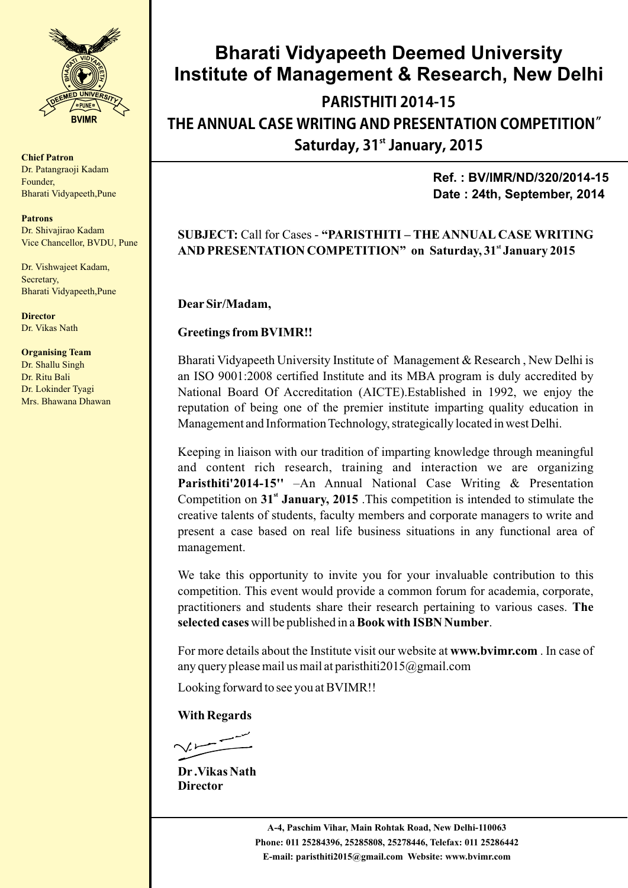

**Chief Patron** Dr. Patangraoji Kadam Founder, Bharati Vidyapeeth,Pune

**Patrons** Dr. Shivajirao Kadam Vice Chancellor, BVDU, Pune

Dr. Vishwajeet Kadam, Secretary, Bharati Vidyapeeth,Pune

**Director** Dr. Vikas Nath

**Organising Team** Dr. Shallu Singh Dr. Ritu Bali Dr. Lokinder Tyagi

Mrs. Bhawana Dhawan

### **Bharati Vidyapeeth Deemed University Institute of Management & Research, New Delhi**

**PARISTHITI2014-15 THE ANNUAL CASE WRITING AND PRESENTATION COMPETITION**" **st Saturday,31 January,2015**

> **Ref. : BV/IMR/ND/320/2014-15 Date : 24th, September, 2014**

#### **SUBJECT:** Call for Cases - **"PARISTHITI – THE ANNUAL CASE WRITING st AND PRESENTATION COMPETITION" on Saturday, 31 January 2015**

**DearSir/Madam,**

#### **Greetings from BVIMR!!**

Bharati Vidyapeeth University Institute of Management & Research , New Delhi is an ISO 9001:2008 certified Institute and its MBA program is duly accredited by National Board Of Accreditation (AICTE).Established in 1992, we enjoy the reputation of being one of the premier institute imparting quality education in Management and Information Technology, strategically located in west Delhi.

Keeping in liaison with our tradition of imparting knowledge through meaningful and content rich research, training and interaction we are organizing **Paristhiti'2014-15''** –An Annual National Case Writing & Presentation Competition on 31<sup>st</sup> January, 2015 .This competition is intended to stimulate the creative talents of students, faculty members and corporate managers to write and present a case based on real life business situations in any functional area of management.

We take this opportunity to invite you for your invaluable contribution to this competition. This event would provide a common forum for academia, corporate, practitioners and students share their research pertaining to various cases. **The selected cases** will be published in a **Book with ISBN Number**.

For more details about the Institute visit our website at **www.bvimr.com** . In case of any query please mail us mail at paristhiti $2015@g$ gmail.com

Looking forward to see you at BVIMR!!

#### **With Regards**

**Dr .Vikas Nath Director**

**A-4, Paschim Vihar, Main Rohtak Road, New Delhi-110063 Phone: 011 25284396, 25285808, 25278446, Telefax: 011 25286442 E-mail: paristhiti2015@gmail.com Website: www.bvimr.com**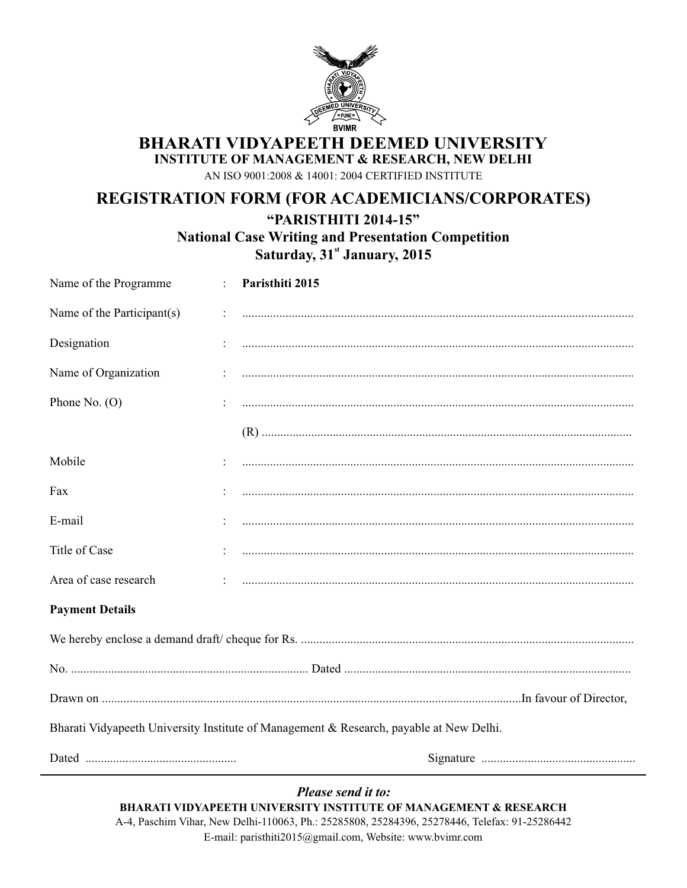

**BHARATI VIDYAPEETH DEEMED UNIVERSITY** 

**INSTITUTE OF MANAGEMENT & RESEARCH, NEW DELHI** 

AN ISO 9001:2008 & 14001: 2004 CERTIFIED INSTITUTE

### REGISTRATION FORM (FOR ACADEMICIANS/CORPORATES)

"PARISTHITI 2014-15"

**National Case Writing and Presentation Competition** 

Saturday, 31st January, 2015

| Name of the Programme                                                                   |  | Paristhiti 2015 |  |
|-----------------------------------------------------------------------------------------|--|-----------------|--|
| Name of the Participant(s)                                                              |  |                 |  |
| Designation                                                                             |  |                 |  |
| Name of Organization                                                                    |  |                 |  |
| Phone No. $(O)$                                                                         |  |                 |  |
|                                                                                         |  |                 |  |
| Mobile                                                                                  |  |                 |  |
| Fax                                                                                     |  |                 |  |
| E-mail                                                                                  |  |                 |  |
| Title of Case                                                                           |  |                 |  |
| Area of case research                                                                   |  |                 |  |
| <b>Payment Details</b>                                                                  |  |                 |  |
|                                                                                         |  |                 |  |
|                                                                                         |  |                 |  |
|                                                                                         |  |                 |  |
| Bharati Vidyapeeth University Institute of Management & Research, payable at New Delhi. |  |                 |  |
|                                                                                         |  |                 |  |

Please send it to: **BHARATI VIDYAPEETH UNIVERSITY INSTITUTE OF MANAGEMENT & RESEARCH** A-4, Paschim Vihar, New Delhi-110063, Ph.: 25285808, 25284396, 25278446, Telefax: 91-25286442 E-mail: paristhiti2015@gmail.com, Website: www.bvimr.com